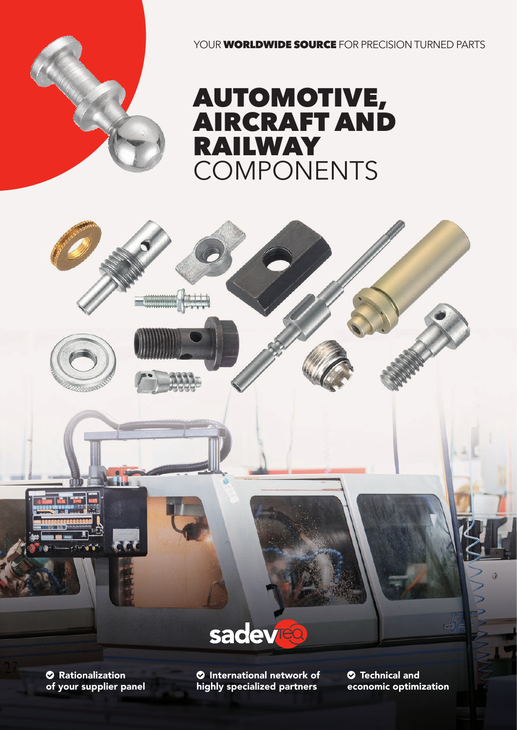YOUR **WORLDWIDE SOURCE** FOR PRECISION TURNED PARTS

# AUTOMOTIVE, AIRCRAFT AND RAILWAY COMPONENTS



 Rationalization of your supplier panel **O** International network of highly specialized partners

 Technical and economic optimization